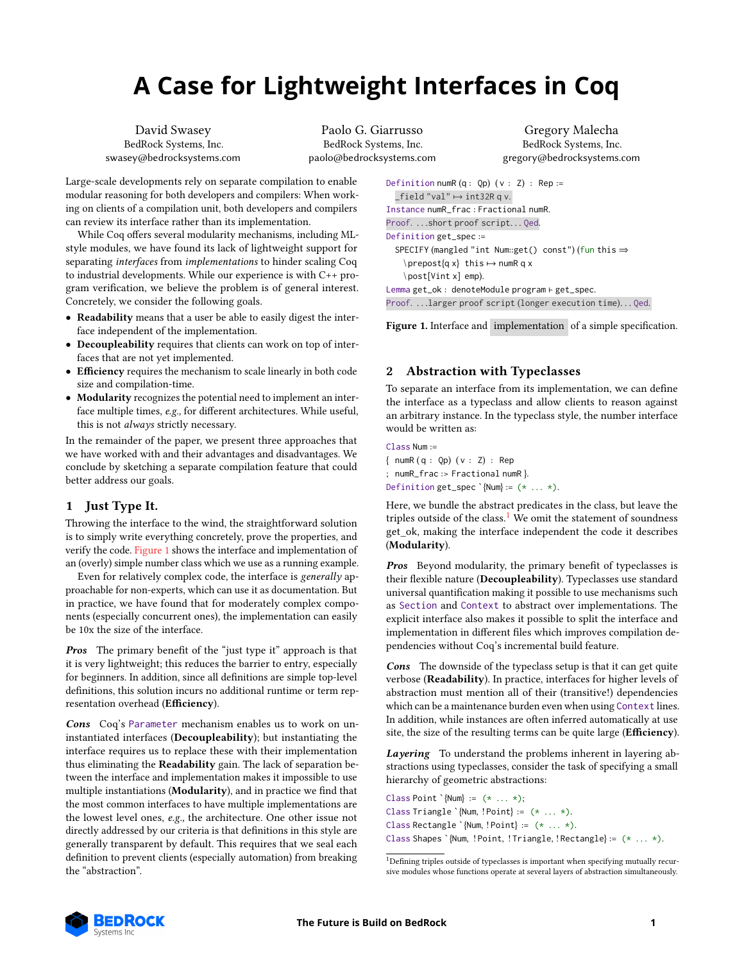# **A Case for Lightweight Interfaces in Coq**

David Swasey BedRock Systems, Inc. swasey@bedrocksystems.com

Paolo G. Giarrusso BedRock Systems, Inc. paolo@bedrocksystems.com

Gregory Malecha BedRock Systems, Inc. gregory@bedrocksystems.com

Large-scale developments rely on separate compilation to enable modular reasoning for both developers and compilers: When working on clients of a compilation unit, both developers and compilers can review its interface rather than its implementation.

While Coq offers several modularity mechanisms, including MLstyle modules, we have found its lack of lightweight support for separating interfaces from implementations to hinder scaling Coq to industrial developments. While our experience is with C++ program verification, we believe the problem is of general interest. Concretely, we consider the following goals.

- Readability means that a user be able to easily digest the interface independent of the implementation.
- Decoupleability requires that clients can work on top of interfaces that are not yet implemented.
- Efficiency requires the mechanism to scale linearly in both code size and compilation-time.
- Modularity recognizes the potential need to implement an interface multiple times, e.g., for different architectures. While useful, this is not always strictly necessary.

In the remainder of the paper, we present three approaches that we have worked with and their advantages and disadvantages. We conclude by sketching a separate compilation feature that could better address our goals.

# <span id="page-0-3"></span>1 Just Type It.

Throwing the interface to the wind, the straightforward solution is to simply write everything concretely, prove the properties, and verify the code. [Figure 1](#page-0-0) shows the interface and implementation of an (overly) simple number class which we use as a running example.

Even for relatively complex code, the interface is generally approachable for non-experts, which can use it as documentation. But in practice, we have found that for moderately complex components (especially concurrent ones), the implementation can easily be 10x the size of the interface.

**Pros** The primary benefit of the "just type it" approach is that it is very lightweight; this reduces the barrier to entry, especially for beginners. In addition, since all definitions are simple top-level definitions, this solution incurs no additional runtime or term representation overhead (Efficiency).

Cons Coq's Parameter mechanism enables us to work on uninstantiated interfaces (Decoupleability); but instantiating the interface requires us to replace these with their implementation thus eliminating the Readability gain. The lack of separation between the interface and implementation makes it impossible to use multiple instantiations (Modularity), and in practice we find that the most common interfaces to have multiple implementations are the lowest level ones, e.g., the architecture. One other issue not directly addressed by our criteria is that definitions in this style are generally transparent by default. This requires that we seal each definition to prevent clients (especially automation) from breaking the "abstraction".

```
Definition numR (q: Qp) (v: Z) : Rep :=
  _field "val" \mapsto int32R q v.
Instance numR_frac : Fractional numR.
Proof. ...short proof script... Qed.
Definition get_spec :=
 SPECIFY (mangled "int Num::get() const") (fun this ⇒
    \ prepost{q x} this ↦→ numR q x
    \ post[Vint x] emp).
Lemma get_ok : denoteModule program ⊢ get_spec.
Proof. . . .larger proof script (longer execution time). . . Qed.
```
Figure 1. Interface and implementation of a simple specification.

# <span id="page-0-2"></span>2 Abstraction with Typeclasses

To separate an interface from its implementation, we can define the interface as a typeclass and allow clients to reason against an arbitrary instance. In the typeclass style, the number interface would be written as:

Class Num := { numR ( q : Qp) ( v : Z) : Rep ; numR\_frac :> Fractional numR }. Definition get\_spec  $\text{'Num} := (* \dots *).$ 

Here, we bundle the abstract predicates in the class, but leave the triples outside of the class.<sup>[1](#page-0-1)</sup> We omit the statement of soundness get\_ok, making the interface independent the code it describes (Modularity).

Pros Beyond modularity, the primary benefit of typeclasses is their flexible nature (Decoupleability). Typeclasses use standard universal quantification making it possible to use mechanisms such as Section and Context to abstract over implementations. The explicit interface also makes it possible to split the interface and implementation in different files which improves compilation dependencies without Coq's incremental build feature.

Cons The downside of the typeclass setup is that it can get quite verbose (Readability). In practice, interfaces for higher levels of abstraction must mention all of their (transitive!) dependencies which can be a maintenance burden even when using Context lines. In addition, while instances are often inferred automatically at use site, the size of the resulting terms can be quite large (Efficiency).

Layering To understand the problems inherent in layering abstractions using typeclasses, consider the task of specifying a small hierarchy of geometric abstractions:

Class Point `{Num} :=  $(* ... *);$ Class Triangle `{Num, ! Point} :=  $(* \dots *)$ . Class Rectangle `{Num, ! Point} :=  $(* ... *).$ Class Shapes `{Num, ! Point, ! Triangle, ! Rectangle} :=  $(* ... *).$ 



<span id="page-0-1"></span> $^{\rm 1}$  Defining triples outside of type<br>classes is important when specifying mutually recursive modules whose functions operate at several layers of abstraction simultaneously.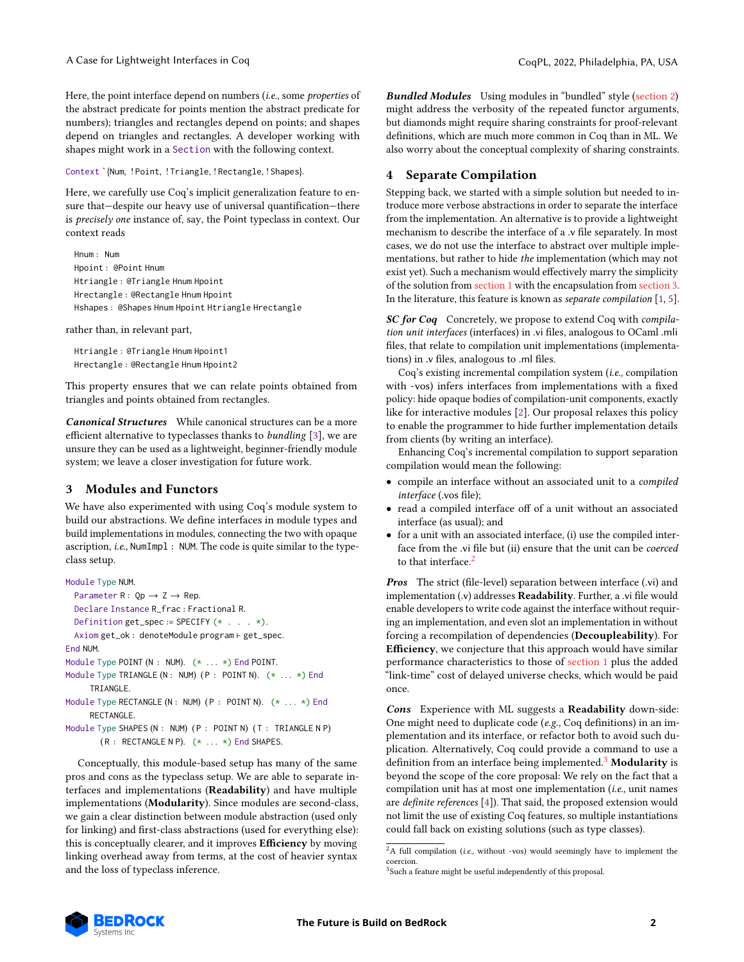Here, the point interface depend on numbers (*i.e.*, some *properties* of the abstract predicate for points mention the abstract predicate for numbers); triangles and rectangles depend on points; and shapes depend on triangles and rectangles. A developer working with shapes might work in a Section with the following context.

Context `{Num, ! Point, ! Triangle, ! Rectangle, ! Shapes}.

Here, we carefully use Coq's implicit generalization feature to ensure that—despite our heavy use of universal quantification—there is precisely one instance of, say, the Point typeclass in context. Our context reads

Hnum : Num Hpoint : @Point Hnum Htriangle : @Triangle Hnum Hpoint Hrectangle : @Rectangle Hnum Hpoint Hshapes : @Shapes Hnum Hpoint Htriangle Hrectangle

rather than, in relevant part,

Htriangle : @Triangle Hnum Hpoint1 Hrectangle : @Rectangle Hnum Hpoint2

This property ensures that we can relate points obtained from triangles and points obtained from rectangles.

Canonical Structures While canonical structures can be a more efficient alternative to typeclasses thanks to bundling [\[3\]](#page-2-0), we are unsure they can be used as a lightweight, beginner-friendly module system; we leave a closer investigation for future work.

# <span id="page-1-0"></span>3 Modules and Functors

We have also experimented with using Coq's module system to build our abstractions. We define interfaces in module types and build implementations in modules, connecting the two with opaque ascription, i.e., NumImpl : NUM. The code is quite similar to the typeclass setup.

```
Module Type NUM.
 Parameter R: Qp \rightarrow Z \rightarrow Rep.
 Declare Instance R_frac : Fractional R.
 Definition get_spec := SPECIFY (* . . . . *).
  Axiom get_ok : denoteModule program ⊢ get_spec.
End NUM.
Module Type POINT (N : NUM). (* ... * ) End POINT.
Module Type TRIANGLE (N : NUM) (P : POINT N). (* ... *) End
     TRIANGLE.
Module Type RECTANGLE (N : NUM) (P : POINT N). (* ... *) End
     RECTANGLE.
Module Type SHAPES (N : NUM) (P : POINT N) (T : TRIANGLE N P)
```
( R : RECTANGLE N P). (\* . . . \*) End SHAPES.

Conceptually, this module-based setup has many of the same pros and cons as the typeclass setup. We are able to separate interfaces and implementations (Readability) and have multiple implementations (Modularity). Since modules are second-class, we gain a clear distinction between module abstraction (used only for linking) and first-class abstractions (used for everything else): this is conceptually clearer, and it improves Efficiency by moving linking overhead away from terms, at the cost of heavier syntax and the loss of typeclass inference.

**Bundled Modules** Using modules in "bundled" style [\(section 2\)](#page-0-2) might address the verbosity of the repeated functor arguments, but diamonds might require sharing constraints for proof-relevant definitions, which are much more common in Coq than in ML. We also worry about the conceptual complexity of sharing constraints.

### 4 Separate Compilation

Stepping back, we started with a simple solution but needed to introduce more verbose abstractions in order to separate the interface from the implementation. An alternative is to provide a lightweight mechanism to describe the interface of a .v file separately. In most cases, we do not use the interface to abstract over multiple implementations, but rather to hide the implementation (which may not exist yet). Such a mechanism would effectively marry the simplicity of the solution from [section 1](#page-0-3) with the encapsulation from [section 3.](#page-1-0) In the literature, this feature is known as separate compilation [\[1,](#page-2-1) [5\]](#page-2-2).

SC for Coq Concretely, we propose to extend Coq with compilation unit interfaces (interfaces) in .vi files, analogous to OCaml .mli files, that relate to compilation unit implementations (implementations) in .v files, analogous to .ml files.

Coq's existing incremental compilation system (i.e., compilation with -vos) infers interfaces from implementations with a fixed policy: hide opaque bodies of compilation-unit components, exactly like for interactive modules [\[2\]](#page-2-3). Our proposal relaxes this policy to enable the programmer to hide further implementation details from clients (by writing an interface).

Enhancing Coq's incremental compilation to support separation compilation would mean the following:

- compile an interface without an associated unit to a compiled interface (.vos file);
- read a compiled interface off of a unit without an associated interface (as usual); and
- for a unit with an associated interface, (i) use the compiled interface from the .vi file but (ii) ensure that the unit can be coerced to that interface<sup>[2](#page-1-1)</sup>

Pros The strict (file-level) separation between interface (.vi) and implementation (.v) addresses Readability. Further, a .vi file would enable developers to write code against the interface without requiring an implementation, and even slot an implementation in without forcing a recompilation of dependencies (Decoupleability). For Efficiency, we conjecture that this approach would have similar performance characteristics to those of [section 1](#page-0-3) plus the added "link-time" cost of delayed universe checks, which would be paid once.

Cons Experience with ML suggests a Readability down-side: One might need to duplicate code (e.g., Coq definitions) in an implementation and its interface, or refactor both to avoid such duplication. Alternatively, Coq could provide a command to use a definition from an interface being implemented.<sup>[3](#page-1-2)</sup> Modularity is beyond the scope of the core proposal: We rely on the fact that a compilation unit has at most one implementation (i.e., unit names are definite references [\[4\]](#page-2-4)). That said, the proposed extension would not limit the use of existing Coq features, so multiple instantiations could fall back on existing solutions (such as type classes).



<span id="page-1-1"></span> ${}^{2}{\rm A}$  full compilation (i.e., without -vos) would seemingly have to implement the coercion.

<span id="page-1-2"></span><sup>&</sup>lt;sup>3</sup> Such a feature might be useful independently of this proposal.